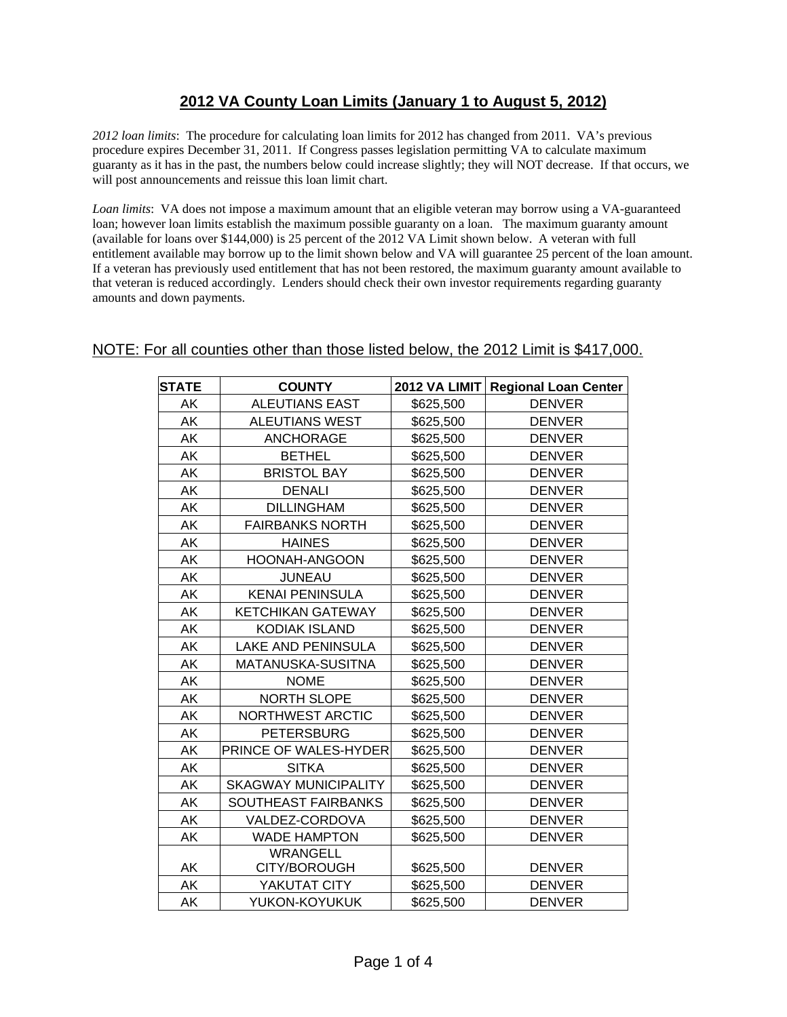## **2012 VA County Loan Limits (January 1 to August 5, 2012)**

*2012 loan limits*: The procedure for calculating loan limits for 2012 has changed from 2011. VA's previous procedure expires December 31, 2011. If Congress passes legislation permitting VA to calculate maximum guaranty as it has in the past, the numbers below could increase slightly; they will NOT decrease. If that occurs, we will post announcements and reissue this loan limit chart.

*Loan limits*: VA does not impose a maximum amount that an eligible veteran may borrow using a VA-guaranteed loan; however loan limits establish the maximum possible guaranty on a loan. The maximum guaranty amount (available for loans over \$144,000) is 25 percent of the 2012 VA Limit shown below. A veteran with full entitlement available may borrow up to the limit shown below and VA will guarantee 25 percent of the loan amount. If a veteran has previously used entitlement that has not been restored, the maximum guaranty amount available to that veteran is reduced accordingly. Lenders should check their own investor requirements regarding guaranty amounts and down payments.

## NOTE: For all counties other than those listed below, the 2012 Limit is \$417,000.

| <b>STATE</b> | <b>COUNTY</b>                   | <b>2012 VA LIMIT</b> | <b>Regional Loan Center</b> |
|--------------|---------------------------------|----------------------|-----------------------------|
| AK           | <b>ALEUTIANS EAST</b>           | \$625,500            | <b>DENVER</b>               |
| AK           | ALEUTIANS WEST                  | \$625,500            | <b>DENVER</b>               |
| AK           | <b>ANCHORAGE</b>                | \$625,500            | <b>DENVER</b>               |
| AK           | <b>BETHEL</b>                   | \$625,500            | <b>DENVER</b>               |
| AK           | <b>BRISTOL BAY</b>              | \$625,500            | <b>DENVER</b>               |
| AK           | <b>DENALI</b>                   | \$625,500            | <b>DENVER</b>               |
| AK           | <b>DILLINGHAM</b>               | \$625,500            | <b>DENVER</b>               |
| AK           | <b>FAIRBANKS NORTH</b>          | \$625,500            | <b>DENVER</b>               |
| AK           | <b>HAINES</b>                   | \$625,500            | <b>DENVER</b>               |
| AK           | HOONAH-ANGOON                   | \$625,500            | <b>DENVER</b>               |
| AK           | <b>JUNEAU</b>                   | \$625,500            | <b>DENVER</b>               |
| AK           | <b>KENAI PENINSULA</b>          | \$625,500            | <b>DENVER</b>               |
| AK           | <b>KETCHIKAN GATEWAY</b>        | \$625,500            | <b>DENVER</b>               |
| AK           | <b>KODIAK ISLAND</b>            | \$625,500            | <b>DENVER</b>               |
| AK           | LAKE AND PENINSULA              | \$625,500            | <b>DENVER</b>               |
| AK           | MATANUSKA-SUSITNA               | \$625,500            | <b>DENVER</b>               |
| AK           | <b>NOME</b>                     | \$625,500            | <b>DENVER</b>               |
| AK           | NORTH SLOPE                     | \$625,500            | <b>DENVER</b>               |
| AK           | <b>NORTHWEST ARCTIC</b>         | \$625,500            | <b>DENVER</b>               |
| AK           | <b>PETERSBURG</b>               | \$625,500            | <b>DENVER</b>               |
| AK           | PRINCE OF WALES-HYDER           | \$625,500            | <b>DENVER</b>               |
| AK           | <b>SITKA</b>                    | \$625,500            | <b>DENVER</b>               |
| AK           | <b>SKAGWAY MUNICIPALITY</b>     | \$625,500            | <b>DENVER</b>               |
| AK           | SOUTHEAST FAIRBANKS             | \$625,500            | <b>DENVER</b>               |
| AK           | VALDEZ-CORDOVA                  | \$625,500            | <b>DENVER</b>               |
| AK           | <b>WADE HAMPTON</b>             | \$625,500            | <b>DENVER</b>               |
| AK           | <b>WRANGELL</b><br>CITY/BOROUGH | \$625,500            | <b>DENVER</b>               |
| AK           | YAKUTAT CITY                    | \$625,500            | <b>DENVER</b>               |
| AK           | YUKON-KOYUKUK                   | \$625,500            | <b>DENVER</b>               |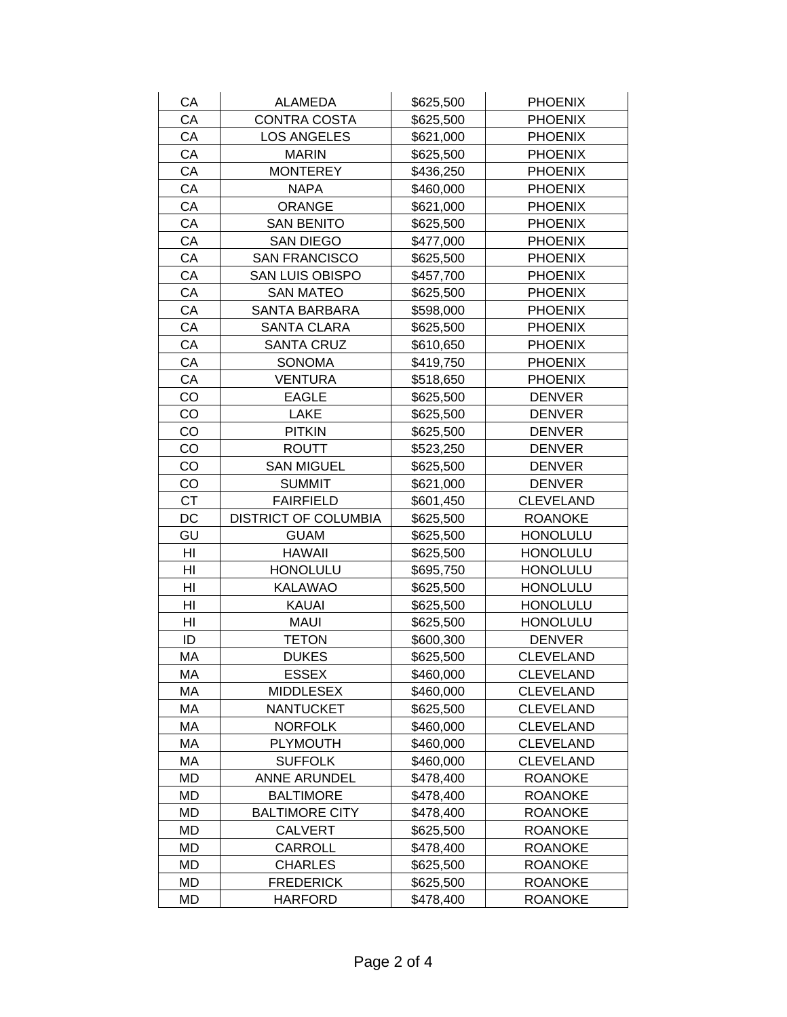| CA        | <b>ALAMEDA</b>                     | \$625,500              | <b>PHOENIX</b>                   |
|-----------|------------------------------------|------------------------|----------------------------------|
| CA        | CONTRA COSTA                       | \$625,500              | <b>PHOENIX</b>                   |
| CA        | <b>LOS ANGELES</b>                 | \$621,000              | <b>PHOENIX</b>                   |
| CA        | <b>MARIN</b>                       | \$625,500              | <b>PHOENIX</b>                   |
| CA        | <b>MONTEREY</b>                    | \$436,250              | <b>PHOENIX</b>                   |
| CA        | <b>NAPA</b>                        | \$460,000              | <b>PHOENIX</b>                   |
| CA        | <b>ORANGE</b>                      | \$621,000              | <b>PHOENIX</b>                   |
| CA        | <b>SAN BENITO</b>                  | \$625,500              | <b>PHOENIX</b>                   |
| CA        | <b>SAN DIEGO</b>                   | \$477,000              | <b>PHOENIX</b>                   |
| CA        | <b>SAN FRANCISCO</b>               | \$625,500              | <b>PHOENIX</b>                   |
| CA        | <b>SAN LUIS OBISPO</b>             | \$457,700              | <b>PHOENIX</b>                   |
| CA        | <b>SAN MATEO</b>                   | \$625,500              | <b>PHOENIX</b>                   |
| CA        | <b>SANTA BARBARA</b>               | \$598,000              | <b>PHOENIX</b>                   |
| CA        | <b>SANTA CLARA</b>                 | \$625,500              | <b>PHOENIX</b>                   |
| CA        | <b>SANTA CRUZ</b>                  | \$610,650              | <b>PHOENIX</b>                   |
| CA        | <b>SONOMA</b>                      | \$419,750              | <b>PHOENIX</b>                   |
| CA        | <b>VENTURA</b>                     | \$518,650              | <b>PHOENIX</b>                   |
| CO        | <b>EAGLE</b>                       | \$625,500              | <b>DENVER</b>                    |
| CO        | LAKE                               | \$625,500              | <b>DENVER</b>                    |
| CO        | <b>PITKIN</b>                      | \$625,500              | <b>DENVER</b>                    |
| CO        | <b>ROUTT</b>                       | \$523,250              | <b>DENVER</b>                    |
| CO        | <b>SAN MIGUEL</b>                  | \$625,500              | <b>DENVER</b>                    |
| CO        | <b>SUMMIT</b>                      | \$621,000              | <b>DENVER</b>                    |
| <b>CT</b> | <b>FAIRFIELD</b>                   | \$601,450              | <b>CLEVELAND</b>                 |
| DC        | <b>DISTRICT OF COLUMBIA</b>        | \$625,500              | <b>ROANOKE</b>                   |
| GU        | <b>GUAM</b>                        | \$625,500              | <b>HONOLULU</b>                  |
| HI        | <b>HAWAII</b>                      | \$625,500              | <b>HONOLULU</b>                  |
| HI        | <b>HONOLULU</b>                    | \$695,750              | <b>HONOLULU</b>                  |
| HI        | <b>KALAWAO</b>                     | \$625,500              | <b>HONOLULU</b>                  |
| HI        | <b>KAUAI</b>                       | \$625,500              | <b>HONOLULU</b>                  |
| HI        | <b>MAUI</b>                        | \$625,500              | <b>HONOLULU</b>                  |
| ID        | <b>TETON</b>                       | \$600,300              | <b>DENVER</b>                    |
| MA        | <b>DUKES</b>                       | \$625,500              | <b>CLEVELAND</b>                 |
| MA        | <b>ESSEX</b>                       | \$460,000              | CLEVELAND                        |
| МA        | <b>MIDDLESEX</b>                   | \$460,000              | <b>CLEVELAND</b>                 |
| МA        | <b>NANTUCKET</b>                   | \$625,500              | <b>CLEVELAND</b>                 |
| MA        | <b>NORFOLK</b>                     | \$460,000              | <b>CLEVELAND</b>                 |
| MA        |                                    |                        |                                  |
|           | <b>PLYMOUTH</b>                    | \$460,000              | <b>CLEVELAND</b>                 |
| МA        | <b>SUFFOLK</b>                     | \$460,000              | <b>CLEVELAND</b>                 |
| MD        | <b>ANNE ARUNDEL</b>                | \$478,400              | <b>ROANOKE</b>                   |
| MD        | <b>BALTIMORE</b>                   | \$478,400              | <b>ROANOKE</b>                   |
| MD        | <b>BALTIMORE CITY</b>              | \$478,400              | <b>ROANOKE</b>                   |
| MD        | <b>CALVERT</b>                     | \$625,500              | <b>ROANOKE</b>                   |
| MD        | CARROLL                            | \$478,400              | <b>ROANOKE</b>                   |
| MD        | <b>CHARLES</b>                     | \$625,500              | <b>ROANOKE</b>                   |
| MD<br>MD  | <b>FREDERICK</b><br><b>HARFORD</b> | \$625,500<br>\$478,400 | <b>ROANOKE</b><br><b>ROANOKE</b> |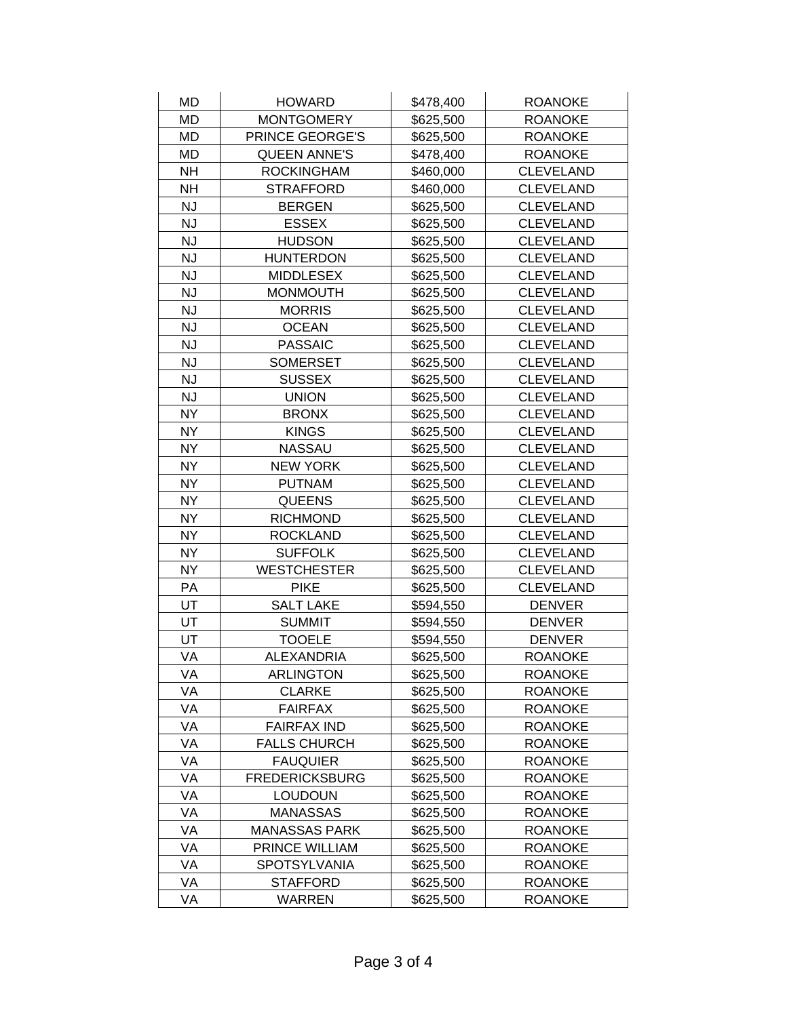| MD        | <b>HOWARD</b>         | \$478,400 | <b>ROANOKE</b>   |
|-----------|-----------------------|-----------|------------------|
| <b>MD</b> | <b>MONTGOMERY</b>     | \$625,500 | <b>ROANOKE</b>   |
| <b>MD</b> | PRINCE GEORGE'S       | \$625,500 | <b>ROANOKE</b>   |
| <b>MD</b> | <b>QUEEN ANNE'S</b>   | \$478,400 | <b>ROANOKE</b>   |
| <b>NH</b> | <b>ROCKINGHAM</b>     | \$460,000 | <b>CLEVELAND</b> |
| <b>NH</b> | <b>STRAFFORD</b>      | \$460,000 | <b>CLEVELAND</b> |
| <b>NJ</b> | <b>BERGEN</b>         | \$625,500 | <b>CLEVELAND</b> |
| <b>NJ</b> | <b>ESSEX</b>          | \$625,500 | <b>CLEVELAND</b> |
| <b>NJ</b> | <b>HUDSON</b>         | \$625,500 | <b>CLEVELAND</b> |
| <b>NJ</b> | <b>HUNTERDON</b>      | \$625,500 | <b>CLEVELAND</b> |
| <b>NJ</b> | <b>MIDDLESEX</b>      | \$625,500 | <b>CLEVELAND</b> |
| <b>NJ</b> | <b>MONMOUTH</b>       | \$625,500 | <b>CLEVELAND</b> |
| <b>NJ</b> | <b>MORRIS</b>         | \$625,500 | <b>CLEVELAND</b> |
| <b>NJ</b> | <b>OCEAN</b>          | \$625,500 | <b>CLEVELAND</b> |
| <b>NJ</b> | <b>PASSAIC</b>        | \$625,500 | <b>CLEVELAND</b> |
| <b>NJ</b> | <b>SOMERSET</b>       | \$625,500 | <b>CLEVELAND</b> |
| <b>NJ</b> | <b>SUSSEX</b>         | \$625,500 | <b>CLEVELAND</b> |
| <b>NJ</b> | <b>UNION</b>          | \$625,500 | <b>CLEVELAND</b> |
| <b>NY</b> | <b>BRONX</b>          | \$625,500 | <b>CLEVELAND</b> |
| <b>NY</b> | <b>KINGS</b>          | \$625,500 | <b>CLEVELAND</b> |
| <b>NY</b> | <b>NASSAU</b>         | \$625,500 | <b>CLEVELAND</b> |
| <b>NY</b> | <b>NEW YORK</b>       | \$625,500 | <b>CLEVELAND</b> |
| <b>NY</b> | <b>PUTNAM</b>         | \$625,500 | <b>CLEVELAND</b> |
| <b>NY</b> | <b>QUEENS</b>         | \$625,500 | <b>CLEVELAND</b> |
| <b>NY</b> | <b>RICHMOND</b>       | \$625,500 | <b>CLEVELAND</b> |
| <b>NY</b> | <b>ROCKLAND</b>       | \$625,500 | <b>CLEVELAND</b> |
| <b>NY</b> | <b>SUFFOLK</b>        | \$625,500 | <b>CLEVELAND</b> |
| <b>NY</b> | <b>WESTCHESTER</b>    | \$625,500 | <b>CLEVELAND</b> |
| PA        | <b>PIKE</b>           | \$625,500 | <b>CLEVELAND</b> |
| UT        | <b>SALT LAKE</b>      | \$594,550 | <b>DENVER</b>    |
| UT        | <b>SUMMIT</b>         | \$594,550 | <b>DENVER</b>    |
| UT        | <b>TOOELE</b>         | \$594,550 | <b>DENVER</b>    |
| VA        | <b>ALEXANDRIA</b>     | \$625,500 | <b>ROANOKE</b>   |
| VA        | <b>ARLINGTON</b>      | \$625,500 | <b>ROANOKE</b>   |
| VA        | <b>CLARKE</b>         | \$625,500 | <b>ROANOKE</b>   |
| VA        | <b>FAIRFAX</b>        | \$625,500 | <b>ROANOKE</b>   |
| VA        | <b>FAIRFAX IND</b>    | \$625,500 | <b>ROANOKE</b>   |
| VA        | <b>FALLS CHURCH</b>   | \$625,500 | <b>ROANOKE</b>   |
| VA        | <b>FAUQUIER</b>       | \$625,500 | <b>ROANOKE</b>   |
| VA        | <b>FREDERICKSBURG</b> | \$625,500 | <b>ROANOKE</b>   |
| VA        | <b>LOUDOUN</b>        | \$625,500 | <b>ROANOKE</b>   |
| VA        | <b>MANASSAS</b>       | \$625,500 | <b>ROANOKE</b>   |
| VA        | <b>MANASSAS PARK</b>  | \$625,500 | <b>ROANOKE</b>   |
| VA        | PRINCE WILLIAM        | \$625,500 | <b>ROANOKE</b>   |
| VA        | <b>SPOTSYLVANIA</b>   | \$625,500 | <b>ROANOKE</b>   |
| VA        | <b>STAFFORD</b>       | \$625,500 | <b>ROANOKE</b>   |
| VA        | WARREN                | \$625,500 | <b>ROANOKE</b>   |